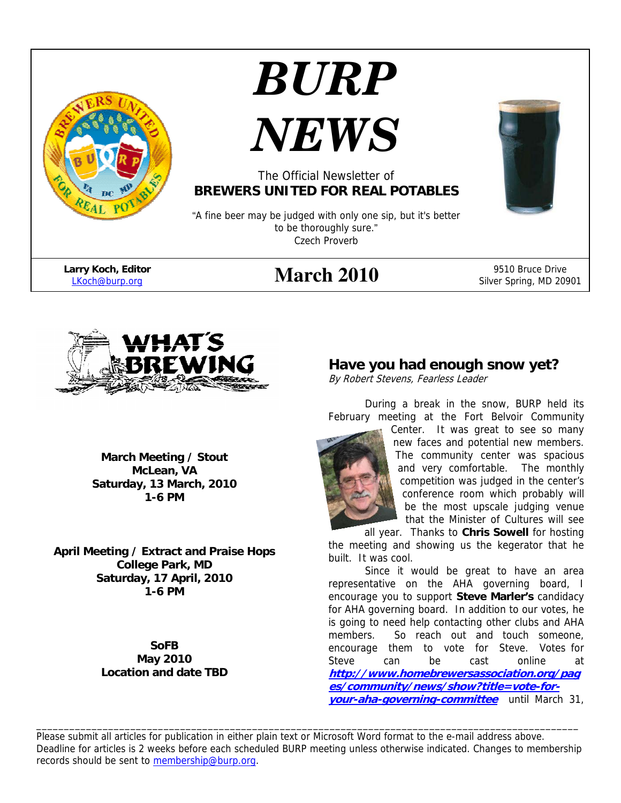

# *BURP*



#### The Official Newsletter of **BREWERS UNITED FOR REAL POTABLES**

"A fine beer may be judged with only one sip, but it's better to be thoroughly sure." Czech Proverb

**Larry Koch, Editor** 

# **Arry Koch, Editor Exercise 2010** 9510 Bruce Drive 9510 Bruce Drive 9510 Bruce Drive 9510 Bruce Drive 9510 Bruce Drive 1

Silver Spring, MD 20901



**March Meeting / Stout McLean, VA Saturday, 13 March, 2010 1-6 PM** 

**April Meeting / Extract and Praise Hops College Park, MD Saturday, 17 April, 2010 1-6 PM** 

> **SoFB May 2010 Location and date TBD**

### **Have you had enough snow yet?**

By Robert Stevens, Fearless Leader

During a break in the snow, BURP held its February meeting at the Fort Belvoir Community

Center. It was great to see so many new faces and potential new members. The community center was spacious and very comfortable. The monthly competition was judged in the center's conference room which probably will be the most upscale judging venue that the Minister of Cultures will see

all year. Thanks to **Chris Sowell** for hosting the meeting and showing us the kegerator that he built. It was cool.

Since it would be great to have an area representative on the AHA governing board, I encourage you to support **Steve Marler's** candidacy for AHA governing board. In addition to our votes, he is going to need help contacting other clubs and AHA members. So reach out and touch someone, encourage them to vote for Steve. Votes for Steve can be cast online at **http://www.homebrewersassociation.org/pag es/community/news/show?title=vote-foryour-aha-governing-committee** until March 31,

Please submit all articles for publication in either plain text or Microsoft Word format to the e-mail address above. Deadline for articles is 2 weeks before each scheduled BURP meeting unless otherwise indicated. Changes to membership records should be sent to membership@burp.org.

\_\_\_\_\_\_\_\_\_\_\_\_\_\_\_\_\_\_\_\_\_\_\_\_\_\_\_\_\_\_\_\_\_\_\_\_\_\_\_\_\_\_\_\_\_\_\_\_\_\_\_\_\_\_\_\_\_\_\_\_\_\_\_\_\_\_\_\_\_\_\_\_\_\_\_\_\_\_\_\_\_\_\_\_\_\_\_\_\_\_\_\_\_\_\_\_\_\_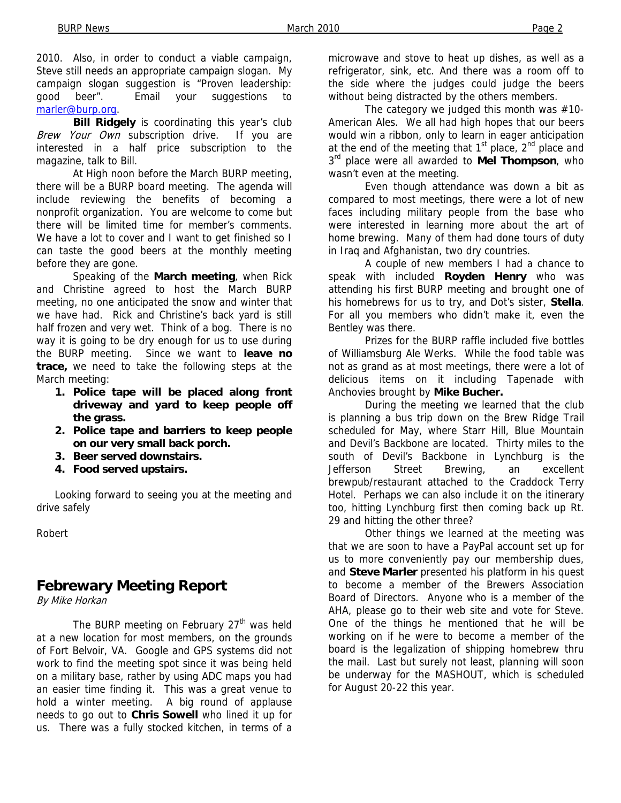2010. Also, in order to conduct a viable campaign, Steve still needs an appropriate campaign slogan. My campaign slogan suggestion is "Proven leadership: good beer". Email your suggestions to marler@burp.org.

**Bill Ridgely** is coordinating this year's club Brew Your Own subscription drive. If you are interested in a half price subscription to the magazine, talk to Bill.

 At High noon before the March BURP meeting, there will be a BURP board meeting. The agenda will include reviewing the benefits of becoming a nonprofit organization. You are welcome to come but there will be limited time for member's comments. We have a lot to cover and I want to get finished so I can taste the good beers at the monthly meeting before they are gone.

 Speaking of the **March meeting**, when Rick and Christine agreed to host the March BURP meeting, no one anticipated the snow and winter that we have had. Rick and Christine's back yard is still half frozen and very wet. Think of a bog. There is no way it is going to be dry enough for us to use during the BURP meeting. Since we want to **leave no trace,** we need to take the following steps at the March meeting:

- **1. Police tape will be placed along front driveway and yard to keep people off the grass.**
- **2. Police tape and barriers to keep people on our very small back porch.**
- **3. Beer served downstairs.**
- **4. Food served upstairs.**

Looking forward to seeing you at the meeting and drive safely

Robert

## **Febrewary Meeting Report**

By Mike Horkan

The BURP meeting on February  $27<sup>th</sup>$  was held at a new location for most members, on the grounds of Fort Belvoir, VA. Google and GPS systems did not work to find the meeting spot since it was being held on a military base, rather by using ADC maps you had an easier time finding it. This was a great venue to hold a winter meeting. A big round of applause needs to go out to **Chris Sowell** who lined it up for us. There was a fully stocked kitchen, in terms of a

microwave and stove to heat up dishes, as well as a refrigerator, sink, etc. And there was a room off to the side where the judges could judge the beers without being distracted by the others members.

 The category we judged this month was #10- American Ales. We all had high hopes that our beers would win a ribbon, only to learn in eager anticipation at the end of the meeting that  $1<sup>st</sup>$  place,  $2<sup>nd</sup>$  place and  $3<sup>rd</sup>$  place were all awarded to **Mel Thompson**, who wasn't even at the meeting.

 Even though attendance was down a bit as compared to most meetings, there were a lot of new faces including military people from the base who were interested in learning more about the art of home brewing. Many of them had done tours of duty in Iraq and Afghanistan, two dry countries.

 A couple of new members I had a chance to speak with included **Royden Henry** who was attending his first BURP meeting and brought one of his homebrews for us to try, and Dot's sister, **Stella**. For all you members who didn't make it, even the Bentley was there.

 Prizes for the BURP raffle included five bottles of Williamsburg Ale Werks. While the food table was not as grand as at most meetings, there were a lot of delicious items on it including Tapenade with Anchovies brought by **Mike Bucher.** 

During the meeting we learned that the club is planning a bus trip down on the Brew Ridge Trail scheduled for May, where Starr Hill, Blue Mountain and Devil's Backbone are located. Thirty miles to the south of Devil's Backbone in Lynchburg is the Jefferson Street Brewing, an excellent brewpub/restaurant attached to the Craddock Terry Hotel. Perhaps we can also include it on the itinerary too, hitting Lynchburg first then coming back up Rt. 29 and hitting the other three?

 Other things we learned at the meeting was that we are soon to have a PayPal account set up for us to more conveniently pay our membership dues, and **Steve Marler** presented his platform in his quest to become a member of the Brewers Association Board of Directors. Anyone who is a member of the AHA, please go to their web site and vote for Steve. One of the things he mentioned that he will be working on if he were to become a member of the board is the legalization of shipping homebrew thru the mail. Last but surely not least, planning will soon be underway for the MASHOUT, which is scheduled for August 20-22 this year.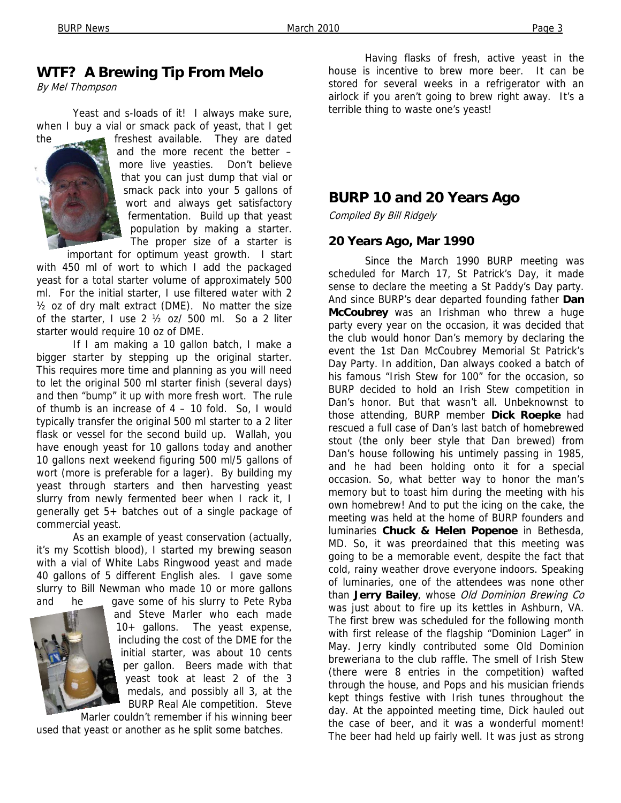#### **WTF? A Brewing Tip From Melo**

By Mel Thompson

 Yeast and s-loads of it! I always make sure, when I buy a vial or smack pack of yeast, that I get



the freshest available. They are dated and the more recent the better – more live yeasties. Don't believe that you can just dump that vial or smack pack into your 5 gallons of wort and always get satisfactory fermentation. Build up that yeast population by making a starter. The proper size of a starter is

important for optimum yeast growth. I start with 450 ml of wort to which I add the packaged yeast for a total starter volume of approximately 500 ml. For the initial starter, I use filtered water with 2  $\frac{1}{2}$  oz of dry malt extract (DME). No matter the size of the starter, I use 2 ½ oz/ 500 ml. So a 2 liter starter would require 10 oz of DME.

 If I am making a 10 gallon batch, I make a bigger starter by stepping up the original starter. This requires more time and planning as you will need to let the original 500 ml starter finish (several days) and then "bump" it up with more fresh wort. The rule of thumb is an increase of 4 – 10 fold. So, I would typically transfer the original 500 ml starter to a 2 liter flask or vessel for the second build up. Wallah, you have enough yeast for 10 gallons today and another 10 gallons next weekend figuring 500 ml/5 gallons of wort (more is preferable for a lager). By building my yeast through starters and then harvesting yeast slurry from newly fermented beer when I rack it, I generally get 5+ batches out of a single package of commercial yeast.

 As an example of yeast conservation (actually, it's my Scottish blood), I started my brewing season with a vial of White Labs Ringwood yeast and made 40 gallons of 5 different English ales. I gave some slurry to Bill Newman who made 10 or more gallons and he gave some of his slurry to Pete Ryba



and Steve Marler who each made 10+ gallons. The yeast expense, including the cost of the DME for the initial starter, was about 10 cents per gallon. Beers made with that yeast took at least 2 of the 3 medals, and possibly all 3, at the BURP Real Ale competition. Steve

Marler couldn't remember if his winning beer used that yeast or another as he split some batches.

 Having flasks of fresh, active yeast in the house is incentive to brew more beer. It can be stored for several weeks in a refrigerator with an airlock if you aren't going to brew right away. It's a terrible thing to waste one's yeast!

#### **BURP 10 and 20 Years Ago**

Compiled By Bill Ridgely

#### **20 Years Ago, Mar 1990**

 Since the March 1990 BURP meeting was scheduled for March 17, St Patrick's Day, it made sense to declare the meeting a St Paddy's Day party. And since BURP's dear departed founding father **Dan McCoubrey** was an Irishman who threw a huge party every year on the occasion, it was decided that the club would honor Dan's memory by declaring the event the 1st Dan McCoubrey Memorial St Patrick's Day Party. In addition, Dan always cooked a batch of his famous "Irish Stew for 100" for the occasion, so BURP decided to hold an Irish Stew competition in Dan's honor. But that wasn't all. Unbeknownst to those attending, BURP member **Dick Roepke** had rescued a full case of Dan's last batch of homebrewed stout (the only beer style that Dan brewed) from Dan's house following his untimely passing in 1985, and he had been holding onto it for a special occasion. So, what better way to honor the man's memory but to toast him during the meeting with his own homebrew! And to put the icing on the cake, the meeting was held at the home of BURP founders and luminaries **Chuck & Helen Popenoe** in Bethesda, MD. So, it was preordained that this meeting was going to be a memorable event, despite the fact that cold, rainy weather drove everyone indoors. Speaking of luminaries, one of the attendees was none other than **Jerry Bailey**, whose Old Dominion Brewing Co was just about to fire up its kettles in Ashburn, VA. The first brew was scheduled for the following month with first release of the flagship "Dominion Lager" in May. Jerry kindly contributed some Old Dominion breweriana to the club raffle. The smell of Irish Stew (there were 8 entries in the competition) wafted through the house, and Pops and his musician friends kept things festive with Irish tunes throughout the day. At the appointed meeting time, Dick hauled out the case of beer, and it was a wonderful moment! The beer had held up fairly well. It was just as strong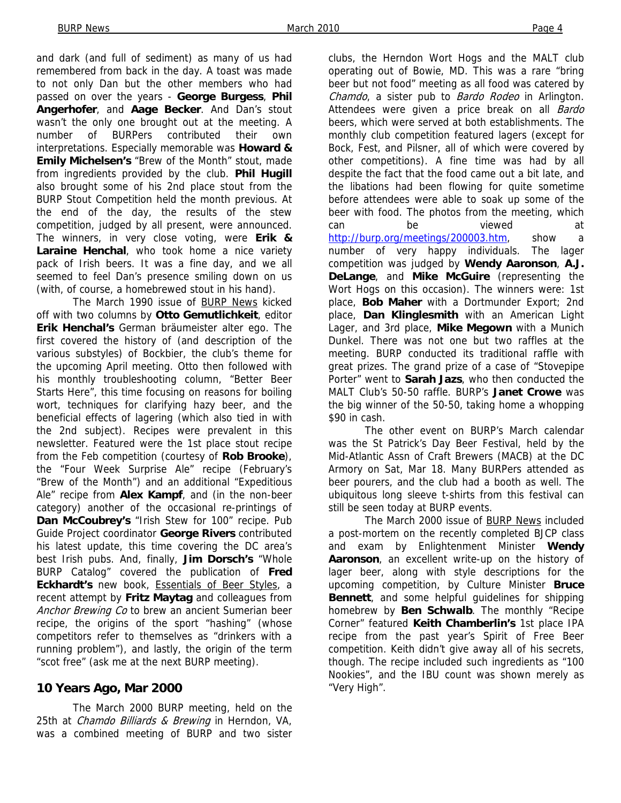and dark (and full of sediment) as many of us had remembered from back in the day. A toast was made to not only Dan but the other members who had passed on over the years - **George Burgess**, **Phil Angerhofer**, and **Aage Becker**. And Dan's stout wasn't the only one brought out at the meeting. A number of BURPers contributed their own interpretations. Especially memorable was **Howard & Emily Michelsen's** "Brew of the Month" stout, made from ingredients provided by the club. **Phil Hugill**  also brought some of his 2nd place stout from the BURP Stout Competition held the month previous. At the end of the day, the results of the stew competition, judged by all present, were announced. The winners, in very close voting, were **Erik & Laraine Henchal**, who took home a nice variety pack of Irish beers. It was a fine day, and we all seemed to feel Dan's presence smiling down on us (with, of course, a homebrewed stout in his hand).

 The March 1990 issue of BURP News kicked off with two columns by **Otto Gemutlichkeit**, editor **Erik Henchal's** German bräumeister alter ego. The first covered the history of (and description of the various substyles) of Bockbier, the club's theme for the upcoming April meeting. Otto then followed with his monthly troubleshooting column, "Better Beer Starts Here", this time focusing on reasons for boiling wort, techniques for clarifying hazy beer, and the beneficial effects of lagering (which also tied in with the 2nd subject). Recipes were prevalent in this newsletter. Featured were the 1st place stout recipe from the Feb competition (courtesy of **Rob Brooke**), the "Four Week Surprise Ale" recipe (February's "Brew of the Month") and an additional "Expeditious Ale" recipe from **Alex Kampf**, and (in the non-beer category) another of the occasional re-printings of **Dan McCoubrey's** "Irish Stew for 100" recipe. Pub Guide Project coordinator **George Rivers** contributed his latest update, this time covering the DC area's best Irish pubs. And, finally, **Jim Dorsch's** "Whole BURP Catalog" covered the publication of **Fred Eckhardt's** new book, Essentials of Beer Styles, a recent attempt by **Fritz Maytag** and colleagues from Anchor Brewing Co to brew an ancient Sumerian beer recipe, the origins of the sport "hashing" (whose competitors refer to themselves as "drinkers with a running problem"), and lastly, the origin of the term "scot free" (ask me at the next BURP meeting).

#### **10 Years Ago, Mar 2000**

 The March 2000 BURP meeting, held on the 25th at *Chamdo Billiards & Brewing* in Herndon, VA, was a combined meeting of BURP and two sister

clubs, the Herndon Wort Hogs and the MALT club operating out of Bowie, MD. This was a rare "bring beer but not food" meeting as all food was catered by Chamdo, a sister pub to Bardo Rodeo in Arlington. Attendees were given a price break on all **Bardo** beers, which were served at both establishments. The monthly club competition featured lagers (except for Bock, Fest, and Pilsner, all of which were covered by other competitions). A fine time was had by all despite the fact that the food came out a bit late, and the libations had been flowing for quite sometime before attendees were able to soak up some of the beer with food. The photos from the meeting, which can be viewed at http://burp.org/meetings/200003.htm, show a number of very happy individuals. The lager competition was judged by **Wendy Aaronson**, **A.J. DeLange**, and **Mike McGuire** (representing the Wort Hogs on this occasion). The winners were: 1st place, **Bob Maher** with a Dortmunder Export; 2nd place, **Dan Klinglesmith** with an American Light Lager, and 3rd place, **Mike Megown** with a Munich Dunkel. There was not one but two raffles at the meeting. BURP conducted its traditional raffle with great prizes. The grand prize of a case of "Stovepipe Porter" went to **Sarah Jazs**, who then conducted the MALT Club's 50-50 raffle. BURP's **Janet Crowe** was the big winner of the 50-50, taking home a whopping \$90 in cash.

 The other event on BURP's March calendar was the St Patrick's Day Beer Festival, held by the Mid-Atlantic Assn of Craft Brewers (MACB) at the DC Armory on Sat, Mar 18. Many BURPers attended as beer pourers, and the club had a booth as well. The ubiquitous long sleeve t-shirts from this festival can still be seen today at BURP events.

 The March 2000 issue of BURP News included a post-mortem on the recently completed BJCP class and exam by Enlightenment Minister **Wendy Aaronson**, an excellent write-up on the history of lager beer, along with style descriptions for the upcoming competition, by Culture Minister **Bruce Bennett**, and some helpful guidelines for shipping homebrew by **Ben Schwalb**. The monthly "Recipe Corner" featured **Keith Chamberlin's** 1st place IPA recipe from the past year's Spirit of Free Beer competition. Keith didn't give away all of his secrets, though. The recipe included such ingredients as "100 Nookies", and the IBU count was shown merely as "Very High".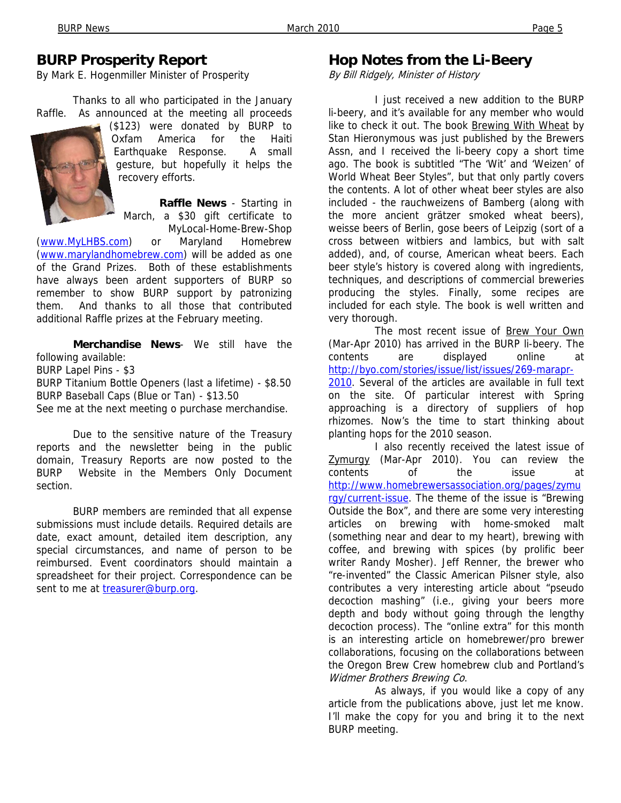#### **BURP Prosperity Report**

By Mark E. Hogenmiller Minister of Prosperity

 Thanks to all who participated in the January Raffle. As announced at the meeting all proceeds



(\$123) were donated by BURP to Oxfam America for the Haiti Earthquake Response. A small gesture, but hopefully it helps the recovery efforts.

 **Raffle News** - Starting in March, a \$30 gift certificate to MyLocal-Home-Brew-Shop

(www.MyLHBS.com) or Maryland Homebrew (www.marylandhomebrew.com) will be added as one of the Grand Prizes. Both of these establishments have always been ardent supporters of BURP so remember to show BURP support by patronizing them. And thanks to all those that contributed additional Raffle prizes at the February meeting.

 **Merchandise News**- We still have the following available: BURP Lapel Pins - \$3 BURP Titanium Bottle Openers (last a lifetime) - \$8.50 BURP Baseball Caps (Blue or Tan) - \$13.50 See me at the next meeting o purchase merchandise.

 Due to the sensitive nature of the Treasury reports and the newsletter being in the public domain, Treasury Reports are now posted to the BURP Website in the Members Only Document section.

 BURP members are reminded that all expense submissions must include details. Required details are date, exact amount, detailed item description, any special circumstances, and name of person to be reimbursed. Event coordinators should maintain a spreadsheet for their project. Correspondence can be sent to me at treasurer@burp.org.

#### **Hop Notes from the Li-Beery**

By Bill Ridgely, Minister of History

 I just received a new addition to the BURP li-beery, and it's available for any member who would like to check it out. The book Brewing With Wheat by Stan Hieronymous was just published by the Brewers Assn, and I received the li-beery copy a short time ago. The book is subtitled "The 'Wit' and 'Weizen' of World Wheat Beer Styles", but that only partly covers the contents. A lot of other wheat beer styles are also included - the rauchweizens of Bamberg (along with the more ancient grätzer smoked wheat beers), weisse beers of Berlin, gose beers of Leipzig (sort of a cross between witbiers and lambics, but with salt added), and, of course, American wheat beers. Each beer style's history is covered along with ingredients, techniques, and descriptions of commercial breweries producing the styles. Finally, some recipes are included for each style. The book is well written and very thorough.

 The most recent issue of Brew Your Own (Mar-Apr 2010) has arrived in the BURP li-beery. The contents are displayed online at http://byo.com/stories/issue/list/issues/269-marapr-2010. Several of the articles are available in full text on the site. Of particular interest with Spring approaching is a directory of suppliers of hop rhizomes. Now's the time to start thinking about planting hops for the 2010 season.

 I also recently received the latest issue of Zymurgy (Mar-Apr 2010). You can review the contents of the issue at http://www.homebrewersassociation.org/pages/zymu rgy/current-issue</u>. The theme of the issue is "Brewing" Outside the Box", and there are some very interesting articles on brewing with home-smoked malt (something near and dear to my heart), brewing with coffee, and brewing with spices (by prolific beer writer Randy Mosher). Jeff Renner, the brewer who "re-invented" the Classic American Pilsner style, also contributes a very interesting article about "pseudo decoction mashing" (i.e., giving your beers more depth and body without going through the lengthy decoction process). The "online extra" for this month is an interesting article on homebrewer/pro brewer collaborations, focusing on the collaborations between the Oregon Brew Crew homebrew club and Portland's Widmer Brothers Brewing Co.

 As always, if you would like a copy of any article from the publications above, just let me know. I'll make the copy for you and bring it to the next BURP meeting.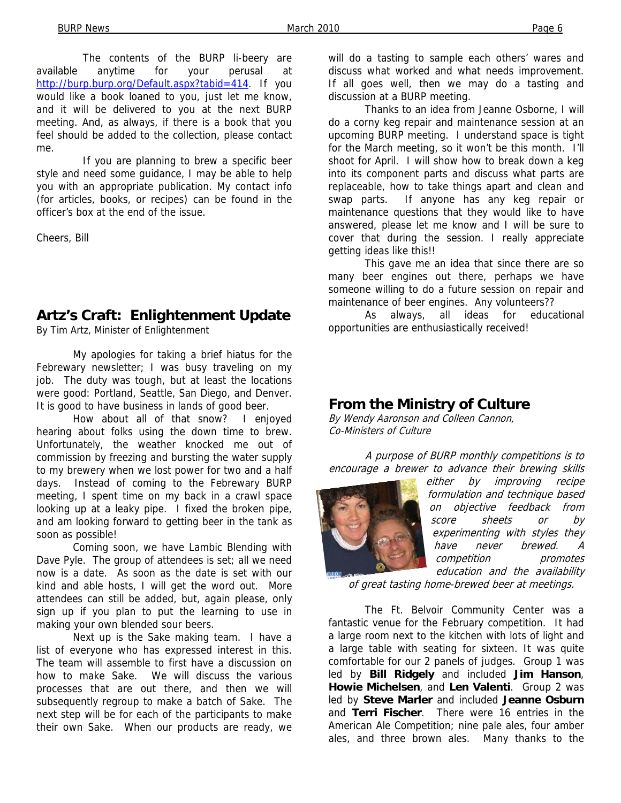The contents of the BURP li-beery are available anytime for your perusal at http://burp.burp.org/Default.aspx?tabid=414. If you would like a book loaned to you, just let me know, and it will be delivered to you at the next BURP meeting. And, as always, if there is a book that you feel should be added to the collection, please contact me.

 If you are planning to brew a specific beer style and need some guidance, I may be able to help you with an appropriate publication. My contact info (for articles, books, or recipes) can be found in the officer's box at the end of the issue.

Cheers, Bill

#### **Artz's Craft: Enlightenment Update**

By Tim Artz, Minister of Enlightenment

 My apologies for taking a brief hiatus for the Febrewary newsletter; I was busy traveling on my job. The duty was tough, but at least the locations were good: Portland, Seattle, San Diego, and Denver. It is good to have business in lands of good beer.

 How about all of that snow? I enjoyed hearing about folks using the down time to brew. Unfortunately, the weather knocked me out of commission by freezing and bursting the water supply to my brewery when we lost power for two and a half days. Instead of coming to the Febrewary BURP meeting, I spent time on my back in a crawl space looking up at a leaky pipe. I fixed the broken pipe, and am looking forward to getting beer in the tank as soon as possible!

 Coming soon, we have Lambic Blending with Dave Pyle. The group of attendees is set; all we need now is a date. As soon as the date is set with our kind and able hosts, I will get the word out. More attendees can still be added, but, again please, only sign up if you plan to put the learning to use in making your own blended sour beers.

 Next up is the Sake making team. I have a list of everyone who has expressed interest in this. The team will assemble to first have a discussion on how to make Sake. We will discuss the various processes that are out there, and then we will subsequently regroup to make a batch of Sake. The next step will be for each of the participants to make their own Sake. When our products are ready, we

will do a tasting to sample each others' wares and discuss what worked and what needs improvement. If all goes well, then we may do a tasting and discussion at a BURP meeting.

 Thanks to an idea from Jeanne Osborne, I will do a corny keg repair and maintenance session at an upcoming BURP meeting. I understand space is tight for the March meeting, so it won't be this month. I'll shoot for April. I will show how to break down a keg into its component parts and discuss what parts are replaceable, how to take things apart and clean and swap parts. If anyone has any keg repair or maintenance questions that they would like to have answered, please let me know and I will be sure to cover that during the session. I really appreciate getting ideas like this!!

 This gave me an idea that since there are so many beer engines out there, perhaps we have someone willing to do a future session on repair and maintenance of beer engines. Any volunteers??

 As always, all ideas for educational opportunities are enthusiastically received!

#### **From the Ministry of Culture**

By Wendy Aaronson and Colleen Cannon, Co-Ministers of Culture

A purpose of BURP monthly competitions is to encourage a brewer to advance their brewing skills



either by improving recipe formulation and technique based on objective feedback from score sheets or by experimenting with styles they have never brewed. A competition promotes education and the availability

of great tasting home-brewed beer at meetings.

 The Ft. Belvoir Community Center was a fantastic venue for the February competition. It had a large room next to the kitchen with lots of light and a large table with seating for sixteen. It was quite comfortable for our 2 panels of judges. Group 1 was led by **Bill Ridgely** and included **Jim Hanson**, **Howie Michelsen**, and **Len Valenti**. Group 2 was led by **Steve Marler** and included **Jeanne Osburn** and **Terri Fischer**. There were 16 entries in the American Ale Competition; nine pale ales, four amber ales, and three brown ales. Many thanks to the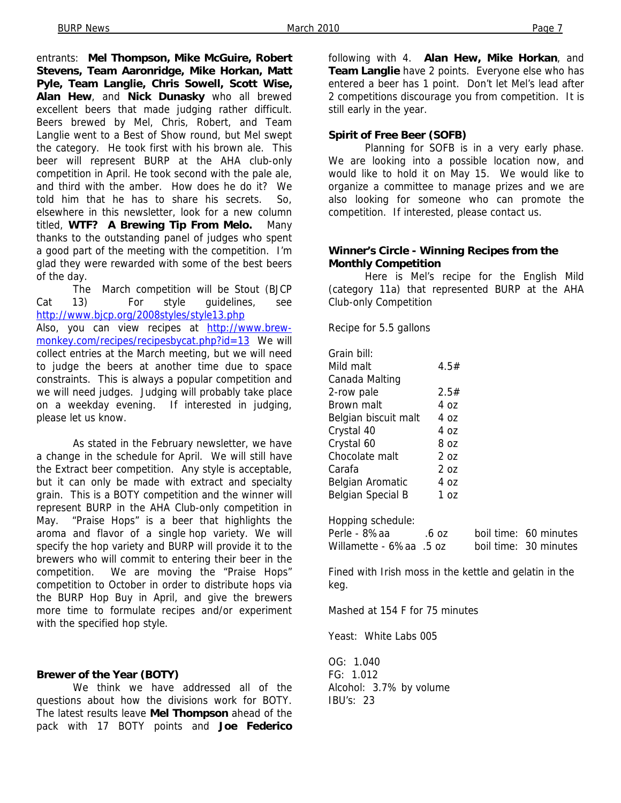entrants: **Mel Thompson, Mike McGuire, Robert Stevens, Team Aaronridge, Mike Horkan, Matt Pyle, Team Langlie, Chris Sowell, Scott Wise, Alan Hew**, and **Nick Dunasky** who all brewed excellent beers that made judging rather difficult. Beers brewed by Mel, Chris, Robert, and Team Langlie went to a Best of Show round, but Mel swept the category. He took first with his brown ale. This beer will represent BURP at the AHA club-only competition in April. He took second with the pale ale, and third with the amber. How does he do it? We told him that he has to share his secrets. So, elsewhere in this newsletter, look for a new column titled, **WTF? A Brewing Tip From Melo.** Many thanks to the outstanding panel of judges who spent a good part of the meeting with the competition. I'm glad they were rewarded with some of the best beers of the day.

 The March competition will be Stout (BJCP Cat 13) For style guidelines, see http://www.bjcp.org/2008styles/style13.php Also, you can view recipes at http://www.brewmonkey.com/recipes/recipesbycat.php?id=13 We will collect entries at the March meeting, but we will need to judge the beers at another time due to space constraints. This is always a popular competition and we will need judges. Judging will probably take place on a weekday evening. If interested in judging, please let us know.

 As stated in the February newsletter, we have a change in the schedule for April. We will still have the Extract beer competition. Any style is acceptable, but it can only be made with extract and specialty grain. This is a BOTY competition and the winner will represent BURP in the AHA Club-only competition in May. "Praise Hops" is a beer that highlights the aroma and flavor of a single hop variety. We will specify the hop variety and BURP will provide it to the brewers who will commit to entering their beer in the competition. We are moving the "Praise Hops" competition to October in order to distribute hops via the BURP Hop Buy in April, and give the brewers more time to formulate recipes and/or experiment with the specified hop style.

#### **Brewer of the Year (BOTY)**

 We think we have addressed all of the questions about how the divisions work for BOTY. The latest results leave **Mel Thompson** ahead of the pack with 17 BOTY points and **Joe Federico**

following with 4. **Alan Hew, Mike Horkan**, and **Team Langlie** have 2 points. Everyone else who has entered a beer has 1 point. Don't let Mel's lead after 2 competitions discourage you from competition. It is still early in the year.

#### **Spirit of Free Beer (SOFB)**

Planning for SOFB is in a very early phase. We are looking into a possible location now, and would like to hold it on May 15. We would like to organize a committee to manage prizes and we are also looking for someone who can promote the competition. If interested, please contact us.

#### **Winner's Circle - Winning Recipes from the Monthly Competition**

 Here is Mel's recipe for the English Mild (category 11a) that represented BURP at the AHA Club-only Competition

Recipe for 5.5 gallons

| Grain bill:          |      |
|----------------------|------|
| Mild malt            | 4.5# |
| Canada Malting       |      |
| 2-row pale           | 2.5# |
| Brown malt           | 4 იz |
| Belgian biscuit malt | 4 oz |
| Crystal 40           | 4 იz |
| Crystal 60           | 8 oz |
| Chocolate malt       | 7 פ  |
| Carafa               | 207  |
| Belgian Aromatic     | 4 იz |
| Belgian Special B    | 1 ດz |
|                      |      |

Hopping schedule: Perle - 8%aa .6 oz boil time: 60 minutes Willamette - 6%aa .5 oz boil time: 30 minutes

Fined with Irish moss in the kettle and gelatin in the keg.

Mashed at 154 F for 75 minutes

Yeast: White Labs 005

OG: 1.040 FG: 1.012 Alcohol: 3.7% by volume IBU's: 23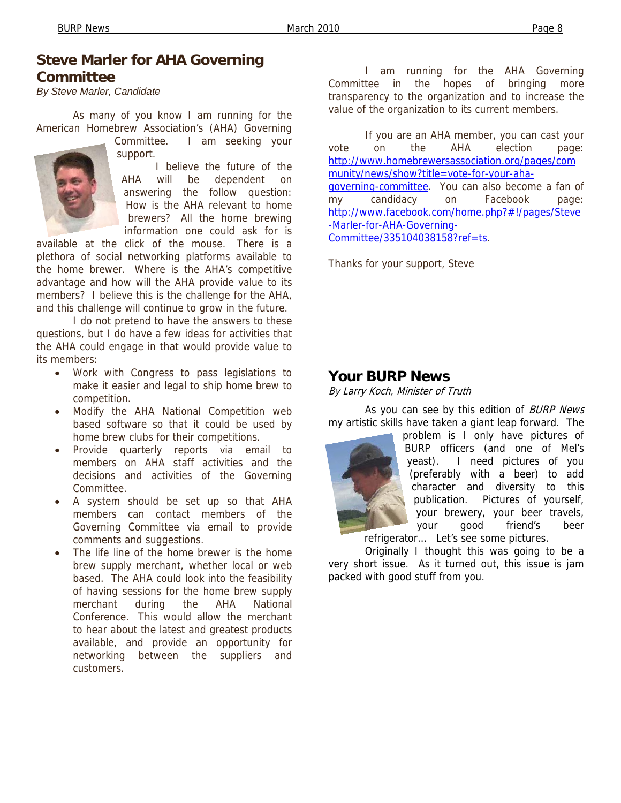#### **Steve Marler for AHA Governing Committee**

*By Steve Marler, Candidate* 

 As many of you know I am running for the American Homebrew Association's (AHA) Governing



Committee. I am seeking your support.

 I believe the future of the AHA will be dependent on answering the follow question: How is the AHA relevant to home brewers? All the home brewing information one could ask for is

available at the click of the mouse. There is a plethora of social networking platforms available to the home brewer. Where is the AHA's competitive advantage and how will the AHA provide value to its members? I believe this is the challenge for the AHA, and this challenge will continue to grow in the future.

 I do not pretend to have the answers to these questions, but I do have a few ideas for activities that the AHA could engage in that would provide value to its members:

- Work with Congress to pass legislations to make it easier and legal to ship home brew to competition.
- Modify the AHA National Competition web based software so that it could be used by home brew clubs for their competitions.
- Provide quarterly reports via email to members on AHA staff activities and the decisions and activities of the Governing Committee.
- A system should be set up so that AHA members can contact members of the Governing Committee via email to provide comments and suggestions.
- The life line of the home brewer is the home brew supply merchant, whether local or web based. The AHA could look into the feasibility of having sessions for the home brew supply merchant during the AHA National Conference. This would allow the merchant to hear about the latest and greatest products available, and provide an opportunity for networking between the suppliers and customers.

 I am running for the AHA Governing Committee in the hopes of bringing more transparency to the organization and to increase the value of the organization to its current members.

 If you are an AHA member, you can cast your vote on the AHA election page: http://www.homebrewersassociation.org/pages/com munity/news/show?title=vote-for-your-ahagoverning-committee. You can also become a fan of my candidacy on Facebook page: http://www.facebook.com/home.php?#!/pages/Steve -Marler-for-AHA-Governing-Committee/335104038158?ref=ts.

Thanks for your support, Steve

#### **Your BURP News**

By Larry Koch, Minister of Truth

As you can see by this edition of BURP News my artistic skills have taken a giant leap forward. The

problem is I only have pictures of BURP officers (and one of Mel's yeast). I need pictures of you (preferably with a beer) to add character and diversity to this publication. Pictures of yourself, your brewery, your beer travels, your good friend's beer

refrigerator… Let's see some pictures.

Originally I thought this was going to be a very short issue. As it turned out, this issue is jam packed with good stuff from you.